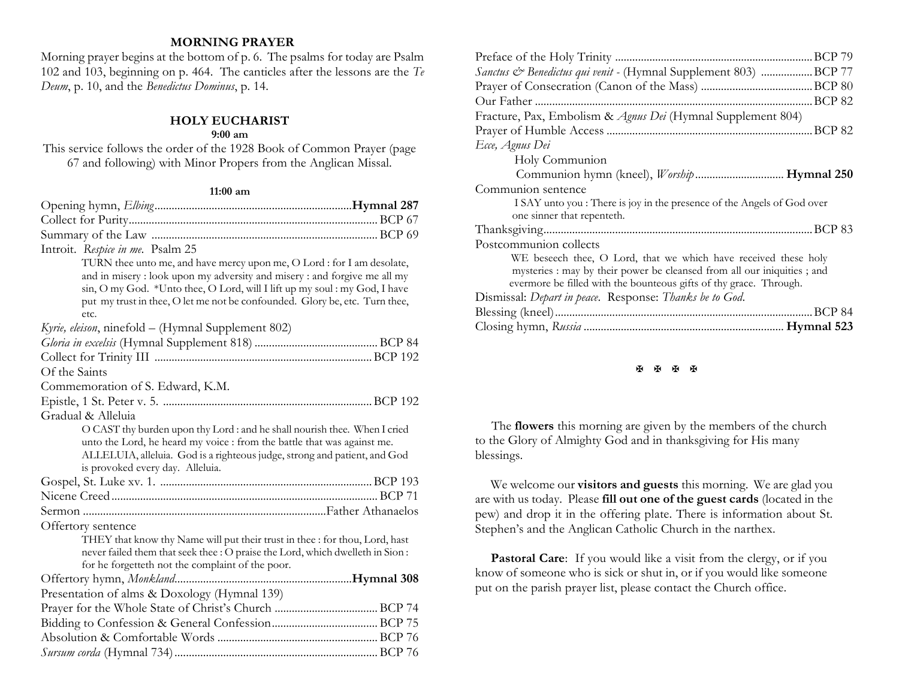# **MORNING PRAYER**

Morning prayer begins at the bottom of p. 6. The psalms for today are Psalm 102 and 103, beginning on p. 464. The canticles after the lessons are the *Te Deum*, p. 10, and the *Benedictus Dominus*, p. 14.

#### **HOLY EUCHARIST 9:00 am**

This service follows the order of the 1928 Book of Common Prayer (page 67 and following) with Minor Propers from the Anglican Missal.

### **11:00 am**

| Introit. Respice in me. Psalm 25                                               |  |
|--------------------------------------------------------------------------------|--|
| TURN thee unto me, and have mercy upon me, O Lord : for I am desolate,         |  |
| and in misery : look upon my adversity and misery : and forgive me all my      |  |
| sin, O my God. *Unto thee, O Lord, will I lift up my soul : my God, I have     |  |
| put my trust in thee, O let me not be confounded. Glory be, etc. Turn thee,    |  |
| etc.                                                                           |  |
| Kyrie, eleison, ninefold – (Hymnal Supplement 802)                             |  |
|                                                                                |  |
|                                                                                |  |
| Of the Saints                                                                  |  |
| Commemoration of S. Edward, K.M.                                               |  |
|                                                                                |  |
| Gradual & Alleluia                                                             |  |
| O CAST thy burden upon thy Lord : and he shall nourish thee. When I cried      |  |
| unto the Lord, he heard my voice : from the battle that was against me.        |  |
| ALLELUIA, alleluia. God is a righteous judge, strong and patient, and God      |  |
| is provoked every day. Alleluia.                                               |  |
|                                                                                |  |
|                                                                                |  |
|                                                                                |  |
| Offertory sentence                                                             |  |
| THEY that know thy Name will put their trust in thee : for thou, Lord, hast    |  |
| never failed them that seek thee : O praise the Lord, which dwelleth in Sion : |  |
| for he forgetteth not the complaint of the poor.                               |  |
|                                                                                |  |
| Presentation of alms & Doxology (Hymnal 139)                                   |  |
|                                                                                |  |
|                                                                                |  |
|                                                                                |  |
|                                                                                |  |

| Sanctus & Benedictus qui venit - (Hymnal Supplement 803) BCP 77         |
|-------------------------------------------------------------------------|
|                                                                         |
|                                                                         |
| Fracture, Pax, Embolism & Agnus Dei (Hymnal Supplement 804)             |
|                                                                         |
| Ecce, Agnus Dei                                                         |
| Holy Communion                                                          |
| Communion hymn (kneel), Worship Hymnal 250                              |
| Communion sentence                                                      |
| I SAY unto you : There is joy in the presence of the Angels of God over |
| one sinner that repenteth.                                              |
|                                                                         |
| Postcommunion collects                                                  |
| WE beseech thee, O Lord, that we which have received these holy         |
| mysteries : may by their power be cleansed from all our iniquities; and |
| evermore be filled with the bounteous gifts of thy grace. Through.      |
| Dismissal: Depart in peace. Response: Thanks be to God.                 |
|                                                                         |
|                                                                         |

#### **K K K K**

 The **flowers** this morning are given by the members of the church to the Glory of Almighty God and in thanksgiving for His many blessings.

We welcome our **visitors and guests** this morning. We are glad you are with us today. Please **fill out one of the guest cards** (located in the pew) and drop it in the offering plate. There is information about St. Stephen's and the Anglican Catholic Church in the narthex.

Pastoral Care: If you would like a visit from the clergy, or if you know of someone who is sick or shut in, or if you would like someone put on the parish prayer list, please contact the Church office.